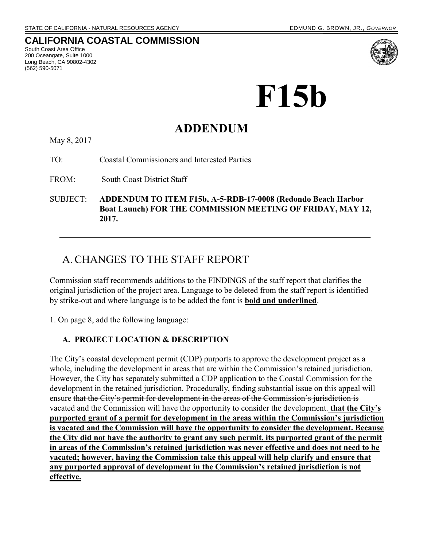### **CALIFORNIA COASTAL COMMISSION**

South Coast Area Office 200 Oceangate, Suite 1000 Long Beach, CA 90802-4302 (562) 590-5071



# **F15b**

## **ADDENDUM**

May 8, 2017

TO: Coastal Commissioners and Interested Parties

FROM: South Coast District Staff

SUBJECT: **ADDENDUM TO ITEM F15b, A-5-RDB-17-0008 (Redondo Beach Harbor Boat Launch) FOR THE COMMISSION MEETING OF FRIDAY, MAY 12, 2017.**

## A.CHANGES TO THE STAFF REPORT

Commission staff recommends additions to the FINDINGS of the staff report that clarifies the original jurisdiction of the project area. Language to be deleted from the staff report is identified by strike-out and where language is to be added the font is **bold and underlined**.

1. On page 8, add the following language:

#### **A. PROJECT LOCATION & DESCRIPTION**

The City's coastal development permit (CDP) purports to approve the development project as a whole, including the development in areas that are within the Commission's retained jurisdiction. However, the City has separately submitted a CDP application to the Coastal Commission for the development in the retained jurisdiction. Procedurally, finding substantial issue on this appeal will ensure that the City's permit for development in the areas of the Commission's jurisdiction is vacated and the Commission will have the opportunity to consider the development. **that the City's purported grant of a permit for development in the areas within the Commission's jurisdiction is vacated and the Commission will have the opportunity to consider the development. Because the City did not have the authority to grant any such permit, its purported grant of the permit in areas of the Commission's retained jurisdiction was never effective and does not need to be vacated; however, having the Commission take this appeal will help clarify and ensure that any purported approval of development in the Commission's retained jurisdiction is not effective.**